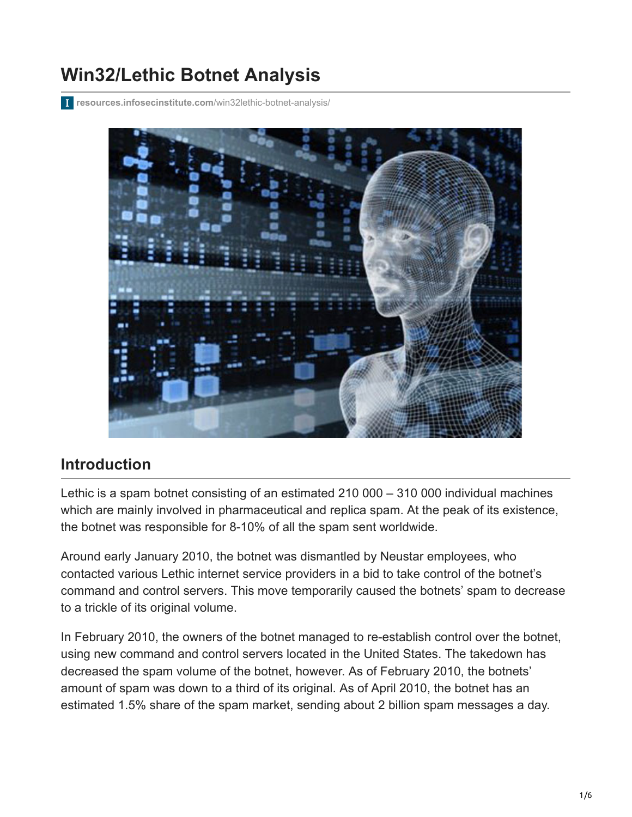# **Win32/Lethic Botnet Analysis**

**[resources.infosecinstitute.com](http://resources.infosecinstitute.com/win32lethic-botnet-analysis/)**/win32lethic-botnet-analysis/



### **Introduction**

Lethic is a spam botnet consisting of an estimated 210 000 – 310 000 individual machines which are mainly involved in pharmaceutical and replica spam. At the peak of its existence, the botnet was responsible for 8-10% of all the spam sent worldwide.

Around early January 2010, the botnet was dismantled by Neustar employees, who contacted various Lethic internet service providers in a bid to take control of the botnet's command and control servers. This move temporarily caused the botnets' spam to decrease to a trickle of its original volume.

In February 2010, the owners of the botnet managed to re-establish control over the botnet, using new command and control servers located in the United States. The takedown has decreased the spam volume of the botnet, however. As of February 2010, the botnets' amount of spam was down to a third of its original. As of April 2010, the botnet has an estimated 1.5% share of the spam market, sending about 2 billion spam messages a day.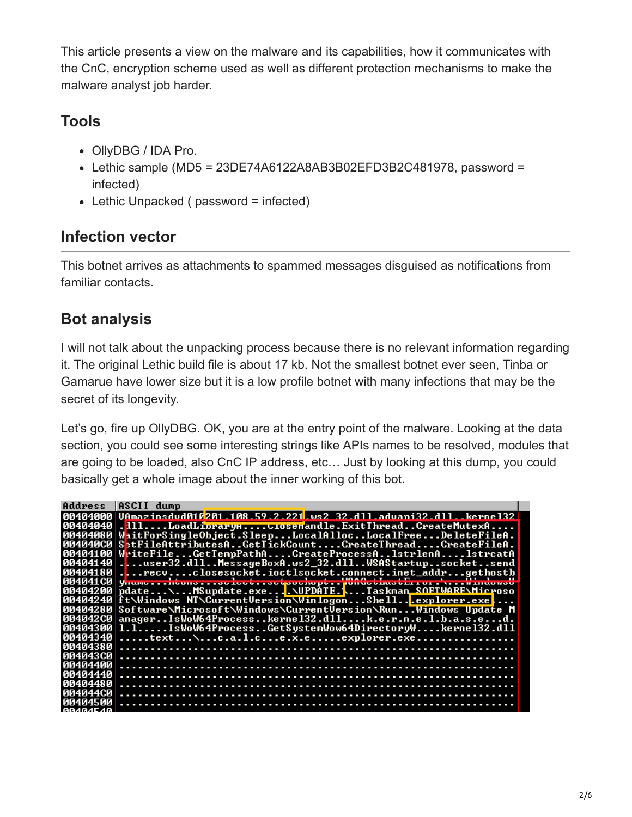This article presents a view on the malware and its capabilities, how it communicates with the CnC, encryption scheme used as well as different protection mechanisms to make the malware analyst job harder.

### **Tools**

- OllyDBG / IDA Pro.
- Lethic sample (MD5 = 23DE74A6122A8AB3B02EFD3B2C481978, password = infected)
- Lethic Unpacked ( password = infected)

# **Infection vector**

This botnet arrives as attachments to spammed messages disguised as notifications from familiar contacts.

# **Bot analysis**

I will not talk about the unpacking process because there is no relevant information regarding it. The original Lethic build file is about 17 kb. Not the smallest botnet ever seen, Tinba or Gamarue have lower size but it is a low profile botnet with many infections that may be the secret of its longevity.

Let's go, fire up OllyDBG. OK, you are at the entry point of the malware. Looking at the data section, you could see some interesting strings like APIs names to be resolved, modules that are going to be loaded, also CnC IP address, etc… Just by looking at this dump, you could basically get a whole image about the inner working of this bot.

|                  | Address ASCII dump                                                              |
|------------------|---------------------------------------------------------------------------------|
|                  | R0404000 UAmazinsdud016201.108.59.2.221.ws2.32.dll.advani32.dllkernel32         |
|                  | 00404040  l11LoadLipraryHCloseHandle.ExitThreadCreateMutexA                     |
|                  | 00404080 WaitForSingleObject.SleepLocalAllocLocalFreeDeleteFileA.               |
|                  | 004040C0 SetFileAttributesAGetTickCountCreateThreadCreateFileA.                 |
|                  | 00404100 WriteFileGetTempPathACreateProcessA1strlenA1strcatA                    |
|                  | 00404140user32.dllMessageBoxA.ws2_32.dllWSAStartupsocketsend                    |
|                  | 00404180recvclosesocket.ioctlsocket.connect.inet_addrgethostb                   |
|                  | 004041C0 yname htoma ac leet ac toochopt WonGet Luat Ex x ox . Nr. . Nindowall  |
|                  | 00404200 pdate\MSupdate.exe\UPDATETaskman_SOFTWARE\Microso                      |
|                  | 00404240 ft\Windows NT\CurrentVersion\WinlogonShell <mark>.</mark> explorer.exe |
|                  | 00404280 Software\Microsoft\Windows\CurrentUersion\RunWindows Update M          |
|                  | 004042C0 anagerIsWoW64Processkerne132.dllk.e.r.n.e.l.b.a.s.ed.                  |
|                  | 00404300 1.1IsWoW64ProcessGetSystemWow64DirectoryWkerne132.dll                  |
|                  | 00404340 text\c.a.l.ce.x.eexplorer.exe                                          |
|                  |                                                                                 |
|                  |                                                                                 |
|                  |                                                                                 |
|                  |                                                                                 |
|                  |                                                                                 |
|                  |                                                                                 |
| 00404500         |                                                                                 |
| <b>BRABAE AR</b> |                                                                                 |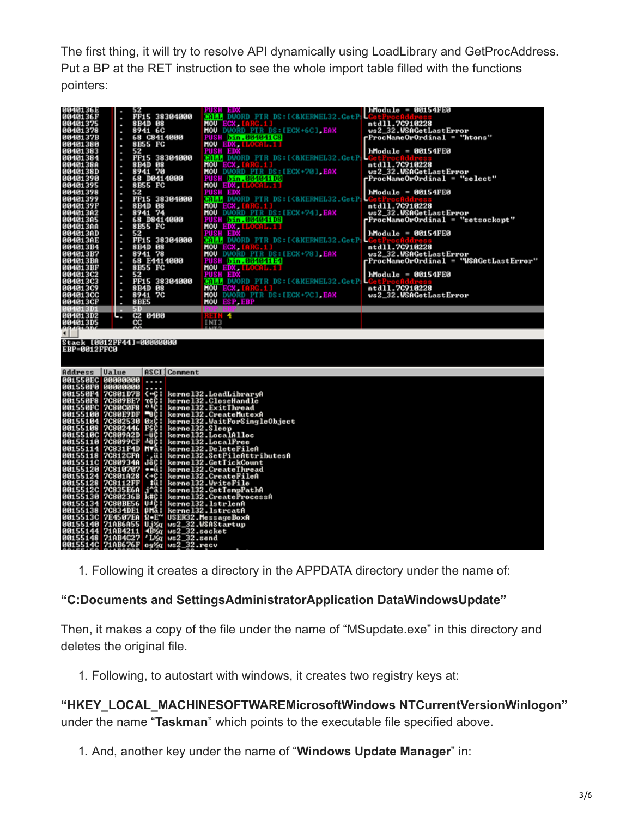The first thing, it will try to resolve API dynamically using LoadLibrary and GetProcAddress. Put a BP at the RET instruction to see the whole import table filled with the functions pointers:

|                                                                                                 | 52                                                                                   | PUSH EDI                                                     | $h$ Module = 00154FE0                                            |
|-------------------------------------------------------------------------------------------------|--------------------------------------------------------------------------------------|--------------------------------------------------------------|------------------------------------------------------------------|
| 0040136E<br>0040136F                                                                            | FF15 38304000<br>٠                                                                   | <b>GALL DWORD PTR DS:[&lt;&amp;KERNEL32.GetP</b> )           |                                                                  |
| 00401375                                                                                        | 8B4D 08<br>٠                                                                         | <b>HOU ECX, LA</b>                                           | ntd11.7C910228                                                   |
| 00401378                                                                                        | 8941 6C<br>٠                                                                         | <b>MOU</b> DWORD PIR DS: [ECX+6C] EAX                        | ws2_32.WSAGetLastError                                           |
| 0040137B                                                                                        | 68 C8414000                                                                          | FUSH bin.004041C8                                            | rProcNameOrOrdinal = "htons"                                     |
| 00401380                                                                                        | 8B55 FC                                                                              | <b>MOU EDX, LLOCAL.11</b>                                    |                                                                  |
| 00401383                                                                                        | 52<br>٠                                                                              | <b>PUSH EDX</b>                                              | hModule = 00154FE0                                               |
| 00401384                                                                                        | <b>FF15 38304000</b><br>٠                                                            | GALL DWORD PTR DS: [<&KERNEL32.GetP                          |                                                                  |
| 0040138A                                                                                        | 8B4D 08                                                                              | <b>MOU ECX,</b>                                              | ntd11.7C910228                                                   |
| 0040138D                                                                                        | 8941 70<br>٠                                                                         | <b>HOU</b> DUORD PTR DS: LECX+701, EAX                       | ws2_32.WSAGetLastError                                           |
| 00401390                                                                                        | 68 D0414000                                                                          | <u> FUSH bin.004041D0</u>                                    | rProcNameOrOrdinal = "select"                                    |
| 00401395                                                                                        | 8B55 FC                                                                              | <b>HOU EDX, LLOGAL, LL</b>                                   |                                                                  |
| 00401398                                                                                        | 52<br>ı                                                                              | <b>PUSH EDX</b>                                              | hModule = 00154FE0                                               |
| 00401399                                                                                        | <b>FF15 38304000</b><br>٠                                                            | <b>GALLE DWORD PTR DS: [&lt;&amp;KERNEL32.GetP</b>           |                                                                  |
| 0040139F                                                                                        | 8B4D 08                                                                              | <b>HOU ECX,</b>                                              | ntd11.7C910228                                                   |
| 004013A2                                                                                        | 8941 74<br>٠                                                                         | <b>HOU</b> DWORD PTR DS: LECX+741, EAX                       | us2_32.WSAGetLastError                                           |
| 884813A5<br>004013AA                                                                            | 68 D8414000                                                                          | <b>PUSH bin.004041D8</b>                                     | rProcNameOrOrdinal = "setsockopt"                                |
|                                                                                                 | 8B55 FC                                                                              | <b>HOU EDX [LOCAL 1]</b>                                     |                                                                  |
| 004013AD                                                                                        | 52<br>٠                                                                              | <b>PUSH EDX</b>                                              | $h$ Module = 00154FE0                                            |
| 004013AE<br>004013B4                                                                            | <b>FF15 38304000</b><br>ı                                                            | <b>CALL DWORD PTR DS:[&lt;&amp;KERNEL32.GetP</b>             |                                                                  |
|                                                                                                 | 8B4D 08                                                                              | HOU ECX,<br><b>HOU</b> DWORD PTR DS: LECX+781, EAX           | ntd11.7C910228                                                   |
| 004013B7<br>004013BA                                                                            | 8941 78<br>٠<br>68 E4414000                                                          |                                                              | ws2_32.WSAGetLastError<br>rProcNameOrOrdinal = "WSAGetLastError" |
| 004013BF                                                                                        |                                                                                      | <b>PUSH bin.004041E4</b>                                     |                                                                  |
| 004013C2                                                                                        | 8B55 FC                                                                              | <b>HOU EDX, LLOGAL.1.1</b>                                   |                                                                  |
| 004013C3                                                                                        | 52<br>٠<br>FF15 38304000                                                             | PUSH EDX<br><b>GALL DWORD PTR DS:[&lt;&amp;KERNEL32.GetP</b> | hModule = 00154FE0                                               |
| 004013C9                                                                                        | ٠<br>8B4D 08                                                                         | <b>HOU ECX.</b>                                              | ntd11.7C910228                                                   |
| 004013CC                                                                                        | ٠<br>8941 7C                                                                         | <b>MOU</b> DWORD PTR DS: [ECX+7C] EAX                        | ws2_32.WSAGetLastError                                           |
| 004013CF                                                                                        | ٠<br><b>8BE5</b>                                                                     | <b>HOU ESP.EBP</b>                                           |                                                                  |
| 4013D1                                                                                          | -91                                                                                  |                                                              |                                                                  |
|                                                                                                 |                                                                                      |                                                              |                                                                  |
|                                                                                                 |                                                                                      |                                                              |                                                                  |
| 004013D2                                                                                        | C2 0400<br>٥.,                                                                       | <b>HEIN 4</b>                                                |                                                                  |
| 004013D5                                                                                        | cc                                                                                   | INT3                                                         |                                                                  |
|                                                                                                 |                                                                                      |                                                              |                                                                  |
|                                                                                                 |                                                                                      |                                                              |                                                                  |
|                                                                                                 | Stack [0012FF44]=00000000<br>EBP=0012FFC0                                            |                                                              |                                                                  |
|                                                                                                 |                                                                                      |                                                              |                                                                  |
|                                                                                                 |                                                                                      |                                                              |                                                                  |
| Address<br>  Ualue                                                                              | ASCI   Comment                                                                       |                                                              |                                                                  |
| 001550EC 00000000                                                                               |                                                                                      |                                                              |                                                                  |
| 001550F0 00000000                                                                               |                                                                                      |                                                              |                                                                  |
|                                                                                                 |                                                                                      | kernel32.LoadLibraryA                                        |                                                                  |
|                                                                                                 |                                                                                      | kernel32.CloseHandle                                         |                                                                  |
| 001550F0 00000000<br>001550F4 7C801D7B <=C:<br>001550F8 7C809BE7 rcC:<br>001550FC 7C80C0F8 04C: |                                                                                      | kernel32.ExitThread                                          |                                                                  |
| 00155100                                                                                        |                                                                                      | kerne132.CreateMutexA                                        |                                                                  |
| 00155104                                                                                        | 7C80E9DF 0C:<br>7C802530 0xC:                                                        | kernel32.WaitForSingleObject                                 |                                                                  |
| 00155108                                                                                        | <b>7C802446</b>                                                                      |                                                              |                                                                  |
| 0015510C 7C809A2D                                                                               |                                                                                      |                                                              |                                                                  |
| 00155110 7C8099CF                                                                               | 職                                                                                    | kerne132.Sleep<br>kerne132.LocalAlloc<br>kerne132.LocalFree  |                                                                  |
| 00155114 7C831F4D                                                                               | <b>HVA</b>                                                                           | kernel32.DeleteFileA                                         |                                                                  |
| 00155118                                                                                        | <b>7C812CFA</b>                                                                      | kernel32.SetFileAttributesA                                  |                                                                  |
| 0015511C 7C80934A                                                                               | Jac !                                                                                | kernel32.GetTickCount                                        |                                                                  |
| 00155120 7C810707                                                                               | $-ii$                                                                                | kernel32. CreateThread                                       |                                                                  |
|                                                                                                 | $\leftrightarrow$ c:                                                                 |                                                              |                                                                  |
| 00155124 7C801A28<br>00155128 7C8112FF                                                          | iii:                                                                                 | kerne132.CreateFileA<br>kerne132.WriteFile                   |                                                                  |
| 0015512C 7C835E6A                                                                               |                                                                                      | kerne132.GetTempPathA                                        |                                                                  |
| 00155130                                                                                        |                                                                                      | kernel32.CreateProcessA                                      |                                                                  |
| 00155134                                                                                        | 7C835E6A j^a:<br>7C80236B k#C:<br>7C80BE56 U=C:<br><b>BHA:</b>                       | kernel32.1strlenA<br>kernel32.lstrcatA                       |                                                                  |
| 00155138 7C834DE1                                                                               |                                                                                      |                                                              |                                                                  |
|                                                                                                 | 0015513C 7E4507EA R.E~ USER32.MessageBox<br>00155140 71AB6A55 Uj%q ws2_32.WSAStartup | USER32.MessageBoxA                                           |                                                                  |
| 00155144 71AB4211                                                                               | $ws2_32.socket$                                                                      |                                                              |                                                                  |
| 00155148 71AB4C27 'L%q                                                                          | <b>4BXq</b><br>$vs2_32.send$<br>0015514C 710B676F 09%g us2 32. recu                  |                                                              |                                                                  |

1. Following it creates a directory in the APPDATA directory under the name of:

#### **"C:Documents and SettingsAdministratorApplication DataWindowsUpdate"**

Then, it makes a copy of the file under the name of "MSupdate.exe" in this directory and deletes the original file.

1. Following, to autostart with windows, it creates two registry keys at:

**"HKEY\_LOCAL\_MACHINESOFTWAREMicrosoftWindows NTCurrentVersionWinlogon"** under the name "**Taskman**" which points to the executable file specified above.

1. And, another key under the name of "**Windows Update Manager**" in: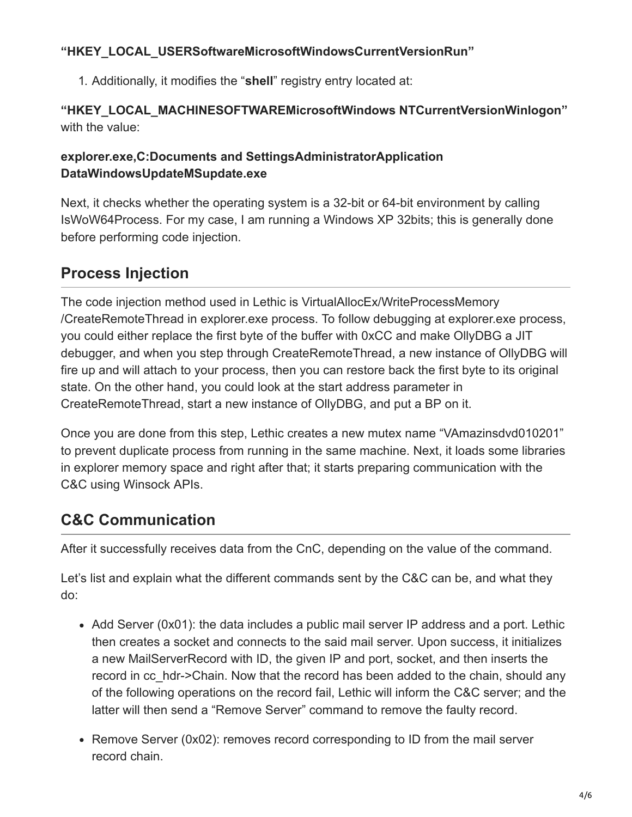#### **"HKEY\_LOCAL\_USERSoftwareMicrosoftWindowsCurrentVersionRun"**

1. Additionally, it modifies the "**shell**" registry entry located at:

#### **"HKEY\_LOCAL\_MACHINESOFTWAREMicrosoftWindows NTCurrentVersionWinlogon"** with the value:

#### **explorer.exe,C:Documents and SettingsAdministratorApplication DataWindowsUpdateMSupdate.exe**

Next, it checks whether the operating system is a 32-bit or 64-bit environment by calling IsWoW64Process. For my case, I am running a Windows XP 32bits; this is generally done before performing code injection.

# **Process Injection**

The code injection method used in Lethic is VirtualAllocEx/WriteProcessMemory /CreateRemoteThread in explorer.exe process. To follow debugging at explorer.exe process, you could either replace the first byte of the buffer with 0xCC and make OllyDBG a JIT debugger, and when you step through CreateRemoteThread, a new instance of OllyDBG will fire up and will attach to your process, then you can restore back the first byte to its original state. On the other hand, you could look at the start address parameter in CreateRemoteThread, start a new instance of OllyDBG, and put a BP on it.

Once you are done from this step, Lethic creates a new mutex name "VAmazinsdvd010201" to prevent duplicate process from running in the same machine. Next, it loads some libraries in explorer memory space and right after that; it starts preparing communication with the C&C using Winsock APIs.

## **C&C Communication**

After it successfully receives data from the CnC, depending on the value of the command.

Let's list and explain what the different commands sent by the C&C can be, and what they do:

- Add Server (0x01): the data includes a public mail server IP address and a port. Lethic then creates a socket and connects to the said mail server. Upon success, it initializes a new MailServerRecord with ID, the given IP and port, socket, and then inserts the record in cc\_hdr->Chain. Now that the record has been added to the chain, should any of the following operations on the record fail, Lethic will inform the C&C server; and the latter will then send a "Remove Server" command to remove the faulty record.
- Remove Server (0x02): removes record corresponding to ID from the mail server record chain.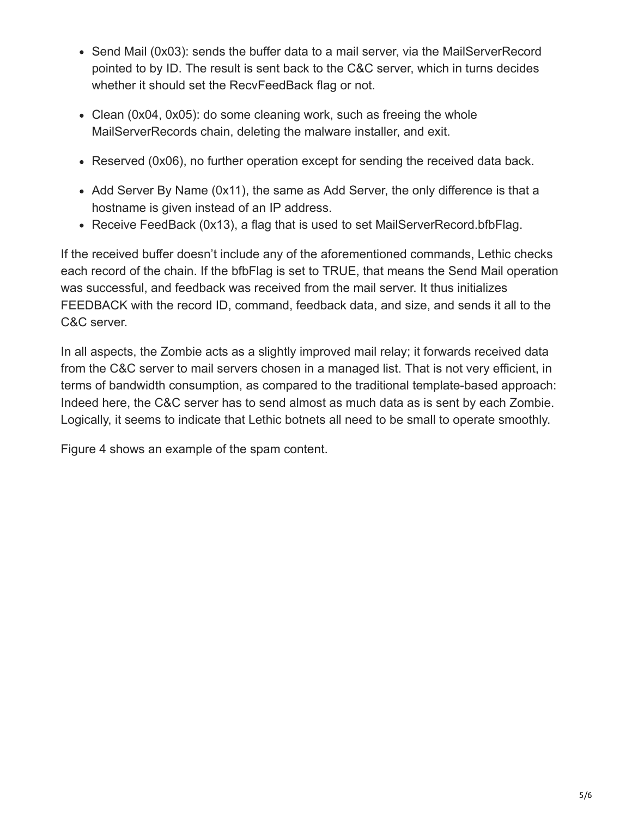- Send Mail (0x03): sends the buffer data to a mail server, via the MailServerRecord pointed to by ID. The result is sent back to the C&C server, which in turns decides whether it should set the RecvFeedBack flag or not.
- Clean (0x04, 0x05): do some cleaning work, such as freeing the whole MailServerRecords chain, deleting the malware installer, and exit.
- Reserved (0x06), no further operation except for sending the received data back.
- Add Server By Name (0x11), the same as Add Server, the only difference is that a hostname is given instead of an IP address.
- Receive FeedBack (0x13), a flag that is used to set MailServerRecord.bfbFlag.

If the received buffer doesn't include any of the aforementioned commands, Lethic checks each record of the chain. If the bfbFlag is set to TRUE, that means the Send Mail operation was successful, and feedback was received from the mail server. It thus initializes FEEDBACK with the record ID, command, feedback data, and size, and sends it all to the C&C server.

In all aspects, the Zombie acts as a slightly improved mail relay; it forwards received data from the C&C server to mail servers chosen in a managed list. That is not very efficient, in terms of bandwidth consumption, as compared to the traditional template-based approach: Indeed here, the C&C server has to send almost as much data as is sent by each Zombie. Logically, it seems to indicate that Lethic botnets all need to be small to operate smoothly.

Figure 4 shows an example of the spam content.